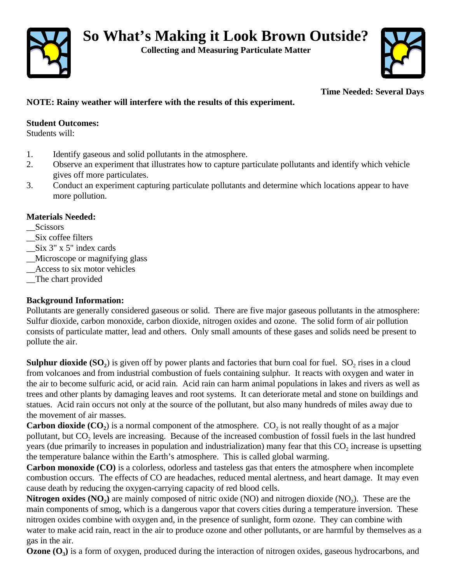

**Collecting and Measuring Particulate Matter**



**Time Needed: Several Days**

# **NOTE: Rainy weather will interfere with the results of this experiment.**

### **Student Outcomes:**

Students will:

- 1. Identify gaseous and solid pollutants in the atmosphere.
- 2. Observe an experiment that illustrates how to capture particulate pollutants and identify which vehicle gives off more particulates.
- 3. Conduct an experiment capturing particulate pollutants and determine which locations appear to have more pollution.

## **Materials Needed:**

- \_\_Scissors
- \_\_Six coffee filters
- \_\_Six 3" x 5" index cards
- \_\_Microscope or magnifying glass
- \_\_Access to six motor vehicles
- \_\_The chart provided

# **Background Information:**

Pollutants are generally considered gaseous or solid. There are five major gaseous pollutants in the atmosphere: Sulfur dioxide, carbon monoxide, carbon dioxide, nitrogen oxides and ozone. The solid form of air pollution consists of particulate matter, lead and others. Only small amounts of these gases and solids need be present to pollute the air.

**Sulphur dioxide**  $(SO_2)$  is given off by power plants and factories that burn coal for fuel.  $SO_2$  rises in a cloud from volcanoes and from industrial combustion of fuels containing sulphur. It reacts with oxygen and water in the air to become sulfuric acid, or acid rain. Acid rain can harm animal populations in lakes and rivers as well as trees and other plants by damaging leaves and root systems. It can deteriorate metal and stone on buildings and statues. Acid rain occurs not only at the source of the pollutant, but also many hundreds of miles away due to the movement of air masses.

**Carbon dioxide**  $(CO_2)$  **is a normal component of the atmosphere.**  $CO_2$  **is not really thought of as a major** pollutant, but  $CO_2$  levels are increasing. Because of the increased combustion of fossil fuels in the last hundred years (due primarily to increases in population and industrialization) many fear that this  $CO_2$  increase is upsetting the temperature balance within the Earth's atmosphere. This is called global warming.

**Carbon monoxide (CO)** is a colorless, odorless and tasteless gas that enters the atmosphere when incomplete combustion occurs. The effects of CO are headaches, reduced mental alertness, and heart damage. It may even cause death by reducing the oxygen-carrying capacity of red blood cells.

**Nitrogen oxides**  $(NO_2)$  **are mainly composed of nitric oxide**  $(NO)$  **and nitrogen dioxide**  $(NO_2)$ **. These are the** main components of smog, which is a dangerous vapor that covers cities during a temperature inversion. These nitrogen oxides combine with oxygen and, in the presence of sunlight, form ozone. They can combine with water to make acid rain, react in the air to produce ozone and other pollutants, or are harmful by themselves as a gas in the air.

**Ozone (O<sup>3</sup> )** is a form of oxygen, produced during the interaction of nitrogen oxides, gaseous hydrocarbons, and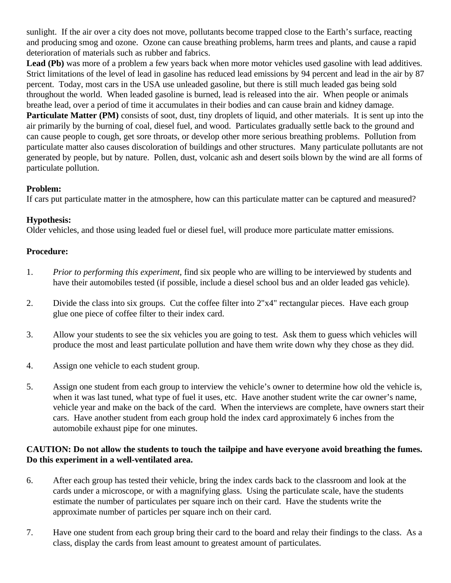sunlight. If the air over a city does not move, pollutants become trapped close to the Earth's surface, reacting and producing smog and ozone. Ozone can cause breathing problems, harm trees and plants, and cause a rapid deterioration of materials such as rubber and fabrics.

Lead (Pb) was more of a problem a few years back when more motor vehicles used gasoline with lead additives. Strict limitations of the level of lead in gasoline has reduced lead emissions by 94 percent and lead in the air by 87 percent. Today, most cars in the USA use unleaded gasoline, but there is still much leaded gas being sold throughout the world. When leaded gasoline is burned, lead is released into the air. When people or animals breathe lead, over a period of time it accumulates in their bodies and can cause brain and kidney damage. **Particulate Matter (PM)** consists of soot, dust, tiny droplets of liquid, and other materials. It is sent up into the air primarily by the burning of coal, diesel fuel, and wood. Particulates gradually settle back to the ground and can cause people to cough, get sore throats, or develop other more serious breathing problems. Pollution from particulate matter also causes discoloration of buildings and other structures. Many particulate pollutants are not generated by people, but by nature. Pollen, dust, volcanic ash and desert soils blown by the wind are all forms of particulate pollution.

#### **Problem:**

If cars put particulate matter in the atmosphere, how can this particulate matter can be captured and measured?

## **Hypothesis:**

Older vehicles, and those using leaded fuel or diesel fuel, will produce more particulate matter emissions.

## **Procedure:**

- 1. *Prior to performing this experiment,* find six people who are willing to be interviewed by students and have their automobiles tested (if possible, include a diesel school bus and an older leaded gas vehicle).
- 2. Divide the class into six groups. Cut the coffee filter into 2"x4" rectangular pieces. Have each group glue one piece of coffee filter to their index card.
- 3. Allow your students to see the six vehicles you are going to test. Ask them to guess which vehicles will produce the most and least particulate pollution and have them write down why they chose as they did.
- 4. Assign one vehicle to each student group.
- 5. Assign one student from each group to interview the vehicle's owner to determine how old the vehicle is, when it was last tuned, what type of fuel it uses, etc. Have another student write the car owner's name, vehicle year and make on the back of the card. When the interviews are complete, have owners start their cars. Have another student from each group hold the index card approximately 6 inches from the automobile exhaust pipe for one minutes.

## **CAUTION: Do not allow the students to touch the tailpipe and have everyone avoid breathing the fumes. Do this experiment in a well-ventilated area.**

- 6. After each group has tested their vehicle, bring the index cards back to the classroom and look at the cards under a microscope, or with a magnifying glass. Using the particulate scale, have the students estimate the number of particulates per square inch on their card. Have the students write the approximate number of particles per square inch on their card.
- 7. Have one student from each group bring their card to the board and relay their findings to the class. As a class, display the cards from least amount to greatest amount of particulates.